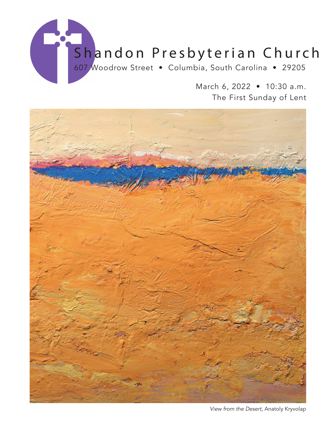

March 6, 2022 • 10:30 a.m. The First Sunday of Lent



*View from the Desert,* Anatoly Kryvolap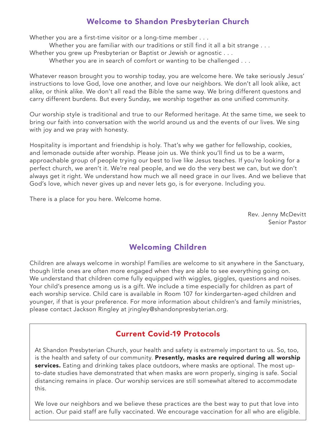## Welcome to Shandon Presbyterian Church

Whether you are a first-time visitor or a long-time member . . .

Whether you are familiar with our traditions or still find it all a bit strange . . .

Whether you grew up Presbyterian or Baptist or Jewish or agnostic . . .

Whether you are in search of comfort or wanting to be challenged . . .

Whatever reason brought you to worship today, you are welcome here. We take seriously Jesus' instructions to love God, love one another, and love our neighbors. We don't all look alike, act alike, or think alike. We don't all read the Bible the same way. We bring different questons and carry different burdens. But every Sunday, we worship together as one unified community.

Our worship style is traditional and true to our Reformed heritage. At the same time, we seek to bring our faith into conversation with the world around us and the events of our lives. We sing with joy and we pray with honesty.

Hospitality is important and friendship is holy. That's why we gather for fellowship, cookies, and lemonade outside after worship. Please join us. We think you'll find us to be a warm, approachable group of people trying our best to live like Jesus teaches. If you're looking for a perfect church, we aren't it. We're real people, and we do the very best we can, but we don't always get it right. We understand how much we all need grace in our lives. And we believe that God's love, which never gives up and never lets go, is for everyone. Including you.

There is a place for you here. Welcome home.

Rev. Jenny McDevitt Senior Pastor

## Welcoming Children

Children are always welcome in worship! Families are welcome to sit anywhere in the Sanctuary, though little ones are often more engaged when they are able to see everything going on. We understand that children come fully equipped with wiggles, giggles, questions and noises. Your child's presence among us is a gift. We include a time especially for children as part of each worship service. Child care is available in Room 107 for kindergarten-aged children and younger, if that is your preference. For more information about children's and family ministries, please contact Jackson Ringley at jringley@shandonpresbyterian.org.

## Current Covid-19 Protocols

At Shandon Presbyterian Church, your health and safety is extremely important to us. So, too, is the health and safety of our community. Presently, masks are required during all worship services. Eating and drinking takes place outdoors, where masks are optional. The most upto-date studies have demonstrated that when masks are worn properly, singing is safe. Social distancing remains in place. Our worship services are still somewhat altered to accommodate this.

We love our neighbors and we believe these practices are the best way to put that love into action. Our paid staff are fully vaccinated. We encourage vaccination for all who are eligible.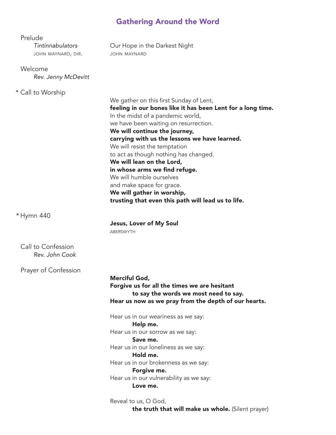## Gathering Around the Word

| Prelude<br>Tintinnabulators<br>JOHN MAYNARD, DIR. | Our Hope in the Darkest Night<br><b>JOHN MAYNARD</b>                                                                                                                                                                                                                                                                                                                                                                                                                                                                                                        |
|---------------------------------------------------|-------------------------------------------------------------------------------------------------------------------------------------------------------------------------------------------------------------------------------------------------------------------------------------------------------------------------------------------------------------------------------------------------------------------------------------------------------------------------------------------------------------------------------------------------------------|
| Welcome<br>Rev. Jenny McDevitt                    |                                                                                                                                                                                                                                                                                                                                                                                                                                                                                                                                                             |
| * Call to Worship                                 | We gather on this first Sunday of Lent,<br>feeling in our bones like it has been Lent for a long time.<br>In the midst of a pandemic world,<br>we have been waiting on resurrection.<br>We will continue the journey,<br>carrying with us the lessons we have learned.<br>We will resist the temptation<br>to act as though nothing has changed.<br>We will lean on the Lord,<br>in whose arms we find refuge.<br>We will humble ourselves<br>and make space for grace.<br>We will gather in worship,<br>trusting that even this path will lead us to life. |
| * Hymn 440                                        | <b>Jesus, Lover of My Soul</b><br><b>ABERSWYTH</b>                                                                                                                                                                                                                                                                                                                                                                                                                                                                                                          |
| Call to Confession<br>Rev. John Cook              |                                                                                                                                                                                                                                                                                                                                                                                                                                                                                                                                                             |
| Prayer of Confession                              | <b>Merciful God,</b><br>Forgive us for all the times we are hesitant<br>to say the words we most need to say.<br>Hear us now as we pray from the depth of our hearts.<br>Hear us in our weariness as we say:<br>Help me.                                                                                                                                                                                                                                                                                                                                    |
|                                                   | Hear us in our sorrow as we say:<br>Save me.<br>Hear us in our loneliness as we say:<br>Hold me.<br>Hear us in our brokenness as we say:<br>Forgive me.<br>Hear us in our vulnerability as we say:<br>Love me.                                                                                                                                                                                                                                                                                                                                              |
|                                                   | Reveal to us, O God,                                                                                                                                                                                                                                                                                                                                                                                                                                                                                                                                        |

**the truth that will make us whole.** (Silent prayer)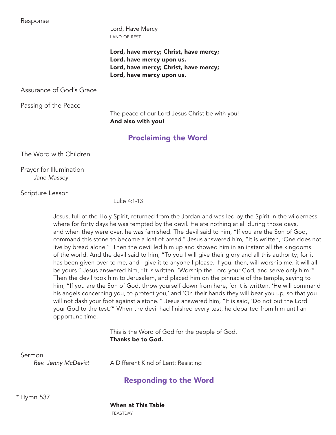Response

 Lord, Have Mercy land of rest

Lord, have mercy; Christ, have mercy; Lord, have mercy upon us. Lord, have mercy; Christ, have mercy; Lord, have mercy upon us.

Assurance of God's Grace

Passing of the Peace

The peace of our Lord Jesus Christ be with you! And also with you!

## Proclaiming the Word

The Word with Children

 Prayer for Illumination *Jane Massey*

Scripture Lesson

Luke 4:1-13

Jesus, full of the Holy Spirit, returned from the Jordan and was led by the Spirit in the wilderness, where for forty days he was tempted by the devil. He ate nothing at all during those days, and when they were over, he was famished. The devil said to him, "If you are the Son of God, command this stone to become a loaf of bread." Jesus answered him, "It is written, 'One does not live by bread alone.'" Then the devil led him up and showed him in an instant all the kingdoms of the world. And the devil said to him, "To you I will give their glory and all this authority; for it has been given over to me, and I give it to anyone I please. If you, then, will worship me, it will all be yours." Jesus answered him, "It is written, 'Worship the Lord your God, and serve only him.'" Then the devil took him to Jerusalem, and placed him on the pinnacle of the temple, saying to him, "If you are the Son of God, throw yourself down from here, for it is written, 'He will command his angels concerning you, to protect you,' and 'On their hands they will bear you up, so that you will not dash your foot against a stone.'" Jesus answered him, "It is said, 'Do not put the Lord your God to the test.'" When the devil had finished every test, he departed from him until an opportune time.

> This is the Word of God for the people of God. Thanks be to God.

Sermon

*Rev. Jenny McDevitt* A Different Kind of Lent: Resisting

## Responding to the Word

 *\** Hymn 537

When at This Table

**FEASTDAY**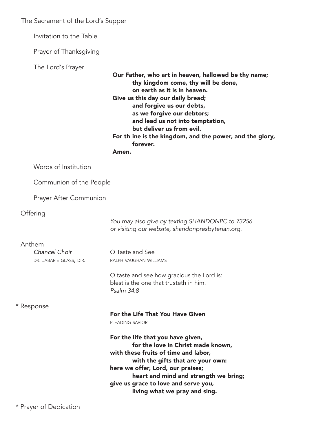The Sacrament of the Lord's Supper

Invitation to the Table

Prayer of Thanksgiving

The Lord's Prayer

 Our Father, who art in heaven, hallowed be thy name; thy kingdom come, thy will be done, on earth as it is in heaven. Give us this day our daily bread; and forgive us our debts, as we forgive our debtors; and lead us not into temptation, but deliver us from evil. For th ine is the kingdom, and the power, and the glory, forever.

Amen.

Communion of the People

Prayer After Communion

**Offering** 

*You may also give by texting SHANDONPC to 73256 or visiting our website, shandonpresbyterian.org.*

Anthem

*Chancel Choir* O Taste and See DR. JABARIE GLASS, DIR. RALPH VAUGHAN WILLIAMS

> O taste and see how gracious the Lord is: blest is the one that trusteth in him. *Psalm 34:8*

#### \* Response

#### For the Life That You Have Given pleading savior

For the life that you have given, for the love in Christ made known, with these fruits of time and labor, with the gifts that are your own: here we offer, Lord, our praises; heart and mind and strength we bring; give us grace to love and serve you, living what we pray and sing.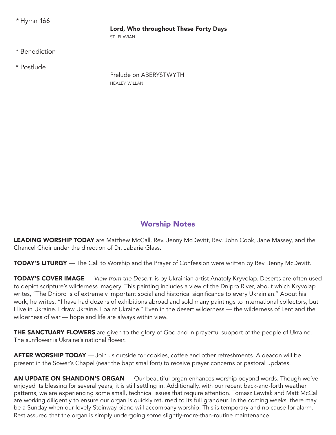*\** Hymn 166

#### Lord, Who throughout These Forty Days

ST. FLAVIAN

\* Benediction

\* Postlude

 Prelude on ABERYSTWYTH healey willan

## Worship Notes

LEADING WORSHIP TODAY are Matthew McCall, Rev. Jenny McDevitt, Rev. John Cook, Jane Massey, and the Chancel Choir under the direction of Dr. Jabarie Glass.

TODAY'S LITURGY — The Call to Worship and the Prayer of Confession were written by Rev. Jenny McDevitt.

TODAY'S COVER IMAGE — *View from the Desert*, is by Ukrainian artist Anatoly Kryvolap. Deserts are often used to depict scripture's wilderness imagery. This painting includes a view of the Dnipro River, about which Kryvolap writes, "The Dnipro is of extremely important social and historical significance to every Ukrainian." About his work, he writes, "I have had dozens of exhibitions abroad and sold many paintings to international collectors, but I live in Ukraine. I draw Ukraine. I paint Ukraine." Even in the desert wilderness — the wilderness of Lent and the wilderness of war — hope and life are always within view.

**THE SANCTUARY FLOWERS** are given to the glory of God and in prayerful support of the people of Ukraine. The sunflower is Ukraine's national flower.

AFTER WORSHIP TODAY — Join us outside for cookies, coffee and other refreshments. A deacon will be present in the Sower's Chapel (near the baptismal font) to receive prayer concerns or pastoral updates.

AN UPDATE ON SHANDON'S ORGAN — Our beautiful organ enhances worship beyond words. Though we've enjoyed its blessing for several years, it is still settling in. Additionally, with our recent back-and-forth weather patterns, we are experiencing some small, technical issues that require attention. Tomasz Lewtak and Matt McCall are working diligently to ensure our organ is quickly returned to its full grandeur. In the coming weeks, there may be a Sunday when our lovely Steinway piano will accompany worship. This is temporary and no cause for alarm. Rest assured that the organ is simply undergoing some slightly-more-than-routine maintenance.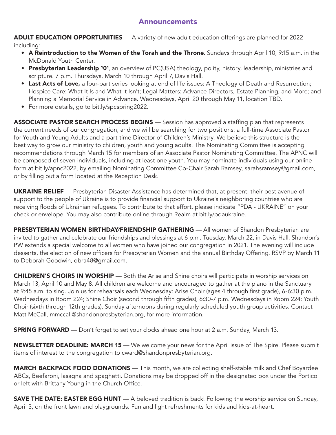### Announcements

ADULT EDUCATION OPPORTUNITIES — A variety of new adult education offerings are planned for 2022 including:

- A Reintroduction to the Women of the Torah and the Throne. Sundays through April 10, 9:15 a.m. in the McDonald Youth Center.
- Presbyterian Leadership <sup>101</sup>, an overview of PC(USA) theology, polity, history, leadership, ministries and scripture. 7 p.m. Thursdays, March 10 through April 7, Davis Hall.
- Last Acts of Love, a four-part series looking at end of life issues: A Theology of Death and Resurrection; Hospice Care: What It Is and What It Isn't; Legal Matters: Advance Directors, Estate Planning, and More; and Planning a Memorial Service in Advance. Wednesdays, April 20 through May 11, location TBD.
- For more details, go to bit.ly/spcspring2022.

ASSOCIATE PASTOR SEARCH PROCESS BEGINS — Session has approved a staffing plan that represents the current needs of our congregation, and we will be searching for two positions: a full-time Associate Pastor for Youth and Young Adults and a part-time Director of Children's Ministry. We believe this structure is the best way to grow our ministry to children, youth and young adults. The Nominating Committee is accepting recommendations through March 15 for members of an Associate Pastor Nominating Committee. The APNC will be composed of seven individuals, including at least one youth. You may nominate individuals using our online form at bit.ly/apnc2022, by emailing Nominating Committee Co-Chair Sarah Ramsey, sarahsramsey@gmail.com, or by filling out a form located at the Reception Desk.

UKRAINE RELIEF — Presbyterian Disaster Assistance has determined that, at present, their best avenue of support to the people of Ukraine is to provide financial support to Ukraine's neighboring countries who are receiving floods of Ukrainian refugees. To contribute to that effort, please indicate "PDA - UKRAINE" on your check or envelope. You may also contribute online through Realm at bit.ly/pdaukraine.

PRESBYTERIAN WOMEN BIRTHDAY/FRIENDSHIP GATHERING — All women of Shandon Presbyterian are invited to gather and celebrate our friendships and blessings at 6 p.m. Tuesday, March 22, in Davis Hall. Shandon's PW extends a special welcome to all women who have joined our congregation in 2021. The evening will include desserts, the election of new officers for Presbyterian Women and the annual Birthday Offering. RSVP by March 11 to Deborah Goodwin, dbra48@gmail.com.

CHILDREN'S CHOIRS IN WORSHIP — Both the Arise and Shine choirs will participate in worship services on March 13, April 10 and May 8. All children are welcome and encouraged to gather at the piano in the Sanctuary at 9:45 a.m. to sing. Join us for rehearsals each Wednesday: Arise Choir (ages 4 through first grade), 6-6:30 p.m. Wednesdays in Room 224; Shine Choir (second through fifth grades), 6:30-7 p.m. Wednesdays in Room 224; Youth Choir (sixth through 12th grades), Sunday afternoons during regularly scheduled youth group activities. Contact Matt McCall, mmccall@shandonpresbyterian.org, for more information.

**SPRING FORWARD** — Don't forget to set your clocks ahead one hour at 2 a.m. Sunday, March 13.

**NEWSLETTER DEADLINE: MARCH 15** — We welcome your news for the April issue of The Spire. Please submit items of interest to the congregation to cward@shandonpresbyterian.org.

MARCH BACKPACK FOOD DONATIONS — This month, we are collecting shelf-stable milk and Chef Boyardee ABCs, Beefaroni, lasagna and spaghetti. Donations may be dropped off in the designated box under the Portico or left with Brittany Young in the Church Office.

**SAVE THE DATE: EASTER EGG HUNT** — A beloved tradition is back! Following the worship service on Sunday, April 3, on the front lawn and playgrounds. Fun and light refreshments for kids and kids-at-heart.